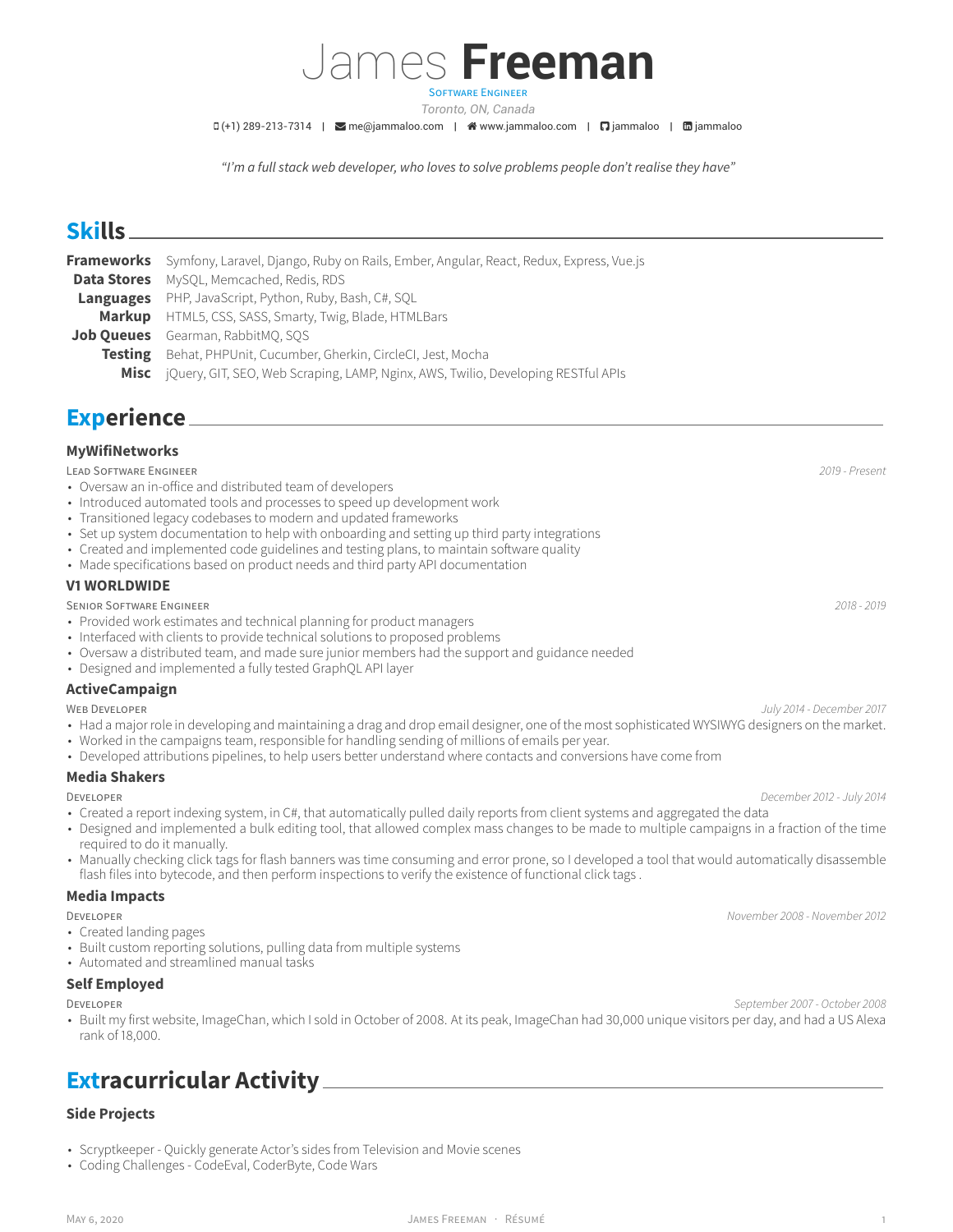# James **Freeman**

SOFTWARE ENGINEER *Toronto, ON, Canada*

 $I(D(+1) 289-213-7314$  |  $\blacksquare$  [me@jammaloo.com](mailto:me@jammaloo.com) |  $\clubsuit$  [www.jammaloo.com](http://www.jammaloo.com) |  $\blacksquare$  [jammaloo](https://www.linkedin.com/in/jammaloo) |  $\blacksquare$  jammaloo

*"I'm a full stack web developer, who loves to solve problems people don't realise they have"*

# **Skills**

|                    | Frameworks Symfony, Laravel, Django, Ruby on Rails, Ember, Angular, React, Redux, Express, Vue.js |
|--------------------|---------------------------------------------------------------------------------------------------|
| <b>Data Stores</b> | MySOL, Memcached, Redis, RDS                                                                      |
|                    | <b>Languages</b> PHP, JavaScript, Python, Ruby, Bash, C#, SQL                                     |
|                    | Markup HTML5, CSS, SASS, Smarty, Twig, Blade, HTMLBars                                            |
|                    | <b>Job Queues</b> Gearman, RabbitMO, SOS                                                          |
|                    | <b>Testing</b> Behat, PHPUnit, Cucumber, Gherkin, CircleCI, Jest, Mocha                           |
| Misc               | jQuery, GIT, SEO, Web Scraping, LAMP, Nginx, AWS, Twilio, Developing RESTful APIs                 |

## **Experience**

## **MyWifiNetworks**

#### LEAD SOFTWARE ENGINEER *2019 - Present*

- Oversaw an in-office and distributed team of developers
- Introduced automated tools and processes to speed up development work
- Transitioned legacy codebases to modern and updated frameworks
- Set up system documentation to help with onboarding and setting up third party integrations
- Created and implemented code guidelines and testing plans, to maintain software quality
- Made specifications based on product needs and third party API documentation

#### **V1 WORLDWIDE**

#### SENIOR SOFTWARE ENGINEER *2018 - 2019*

- Provided work estimates and technical planning for product managers
- Interfaced with clients to provide technical solutions to proposed problems
- Oversaw a distributed team, and made sure junior members had the support and guidance needed
- Designed and implemented a fully tested GraphQL API layer

#### **ActiveCampaign**

#### WEB DEVELOPER *July 2014 - December 2017*

- Had a major role in developing and maintaining a drag and drop email designer, one of the most sophisticated WYSIWYG designers on the market.
- Worked in the campaigns team, responsible for handling sending of millions of emails per year.
- Developed attributions pipelines, to help users better understand where contacts and conversions have come from

#### **Media Shakers**

#### DEVELOPER *December 2012 - July 2014*

- Created a report indexing system, in C#, that automatically pulled daily reports from client systems and aggregated the data
- Designed and implemented a bulk editing tool, that allowed complex mass changes to be made to multiple campaigns in a fraction of the time required to do it manually.
- Manually checking click tags for flash banners was time consuming and error prone, so I developed a tool that would automatically disassemble flash files into bytecode, and then perform inspections to verify the existence of functional click tags.

#### **Media Impacts**

- Created landing pages
- Built custom reporting solutions, pulling data from multiple systems
- Automated and streamlined manual tasks

#### **Self Employed**

DEVELOPER *September 2007 - October 2008*

• Built my first website, ImageChan, which I sold in October of 2008. At its peak, ImageChan had 30,000 unique visitors per day, and had a US Alexa rank of 18,000.

# **Extracurricular Activity**

### **Side Projects**

- [Scryptkeeper](<https://scryptkeeper.ca>) Quickly generate Actor's sides from Television and Movie scenes
- Coding Challenges CodeEval, CoderByte, Code Wars

DEVELOPER *November 2008 - November 2012*